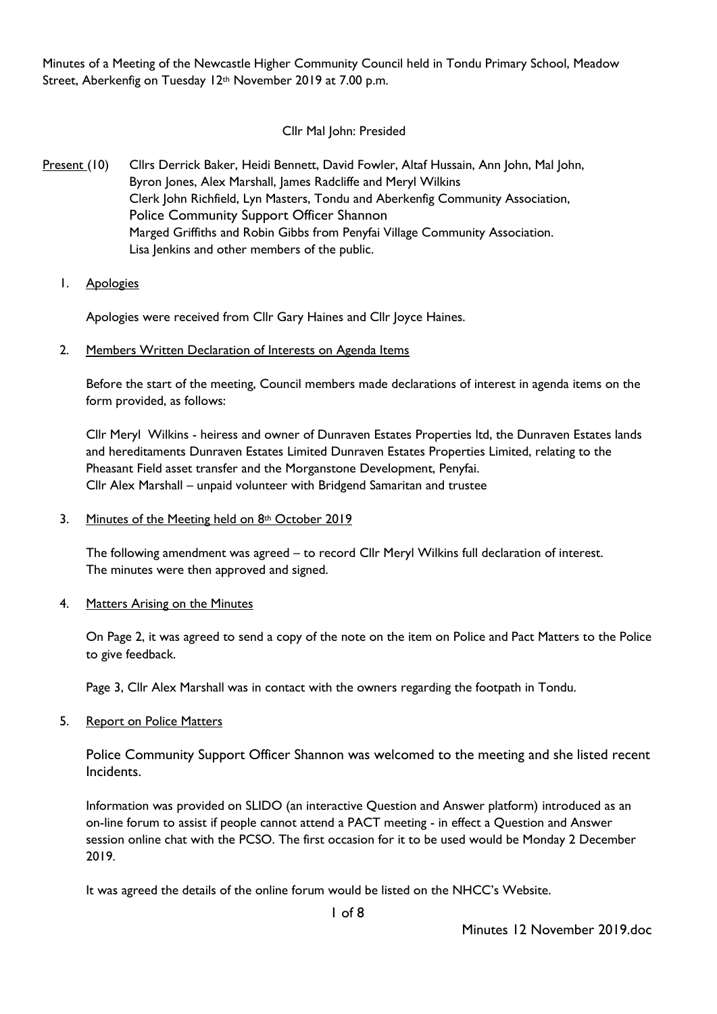Minutes of a Meeting of the Newcastle Higher Community Council held in Tondu Primary School, Meadow Street, Aberkenfig on Tuesday 12th November 2019 at 7.00 p.m.

# Cllr Mal John: Presided

- Present (10) Cllrs Derrick Baker, Heidi Bennett, David Fowler, Altaf Hussain, Ann John, Mal John, Byron Jones, Alex Marshall, James Radcliffe and Meryl Wilkins Clerk John Richfield, Lyn Masters, Tondu and Aberkenfig Community Association, Police Community Support Officer Shannon Marged Griffiths and Robin Gibbs from Penyfai Village Community Association. Lisa Jenkins and other members of the public.
	- 1. Apologies

Apologies were received from Cllr Gary Haines and Cllr Joyce Haines.

2. Members Written Declaration of Interests on Agenda Items

Before the start of the meeting, Council members made declarations of interest in agenda items on the form provided, as follows:

Cllr Meryl Wilkins - heiress and owner of Dunraven Estates Properties ltd, the Dunraven Estates lands and hereditaments Dunraven Estates Limited Dunraven Estates Properties Limited, relating to the Pheasant Field asset transfer and the Morganstone Development, Penyfai. Cllr Alex Marshall – unpaid volunteer with Bridgend Samaritan and trustee

3. Minutes of the Meeting held on  $8<sup>th</sup>$  October 2019

The following amendment was agreed – to record Cllr Meryl Wilkins full declaration of interest. The minutes were then approved and signed.

4. Matters Arising on the Minutes

On Page 2, it was agreed to send a copy of the note on the item on Police and Pact Matters to the Police to give feedback.

Page 3, Cllr Alex Marshall was in contact with the owners regarding the footpath in Tondu.

5. Report on Police Matters

Police Community Support Officer Shannon was welcomed to the meeting and she listed recent Incidents.

Information was provided on SLIDO (an interactive Question and Answer platform) introduced as an on-line forum to assist if people cannot attend a PACT meeting - in effect a Question and Answer session online chat with the PCSO. The first occasion for it to be used would be Monday 2 December 2019.

It was agreed the details of the online forum would be listed on the NHCC's Website.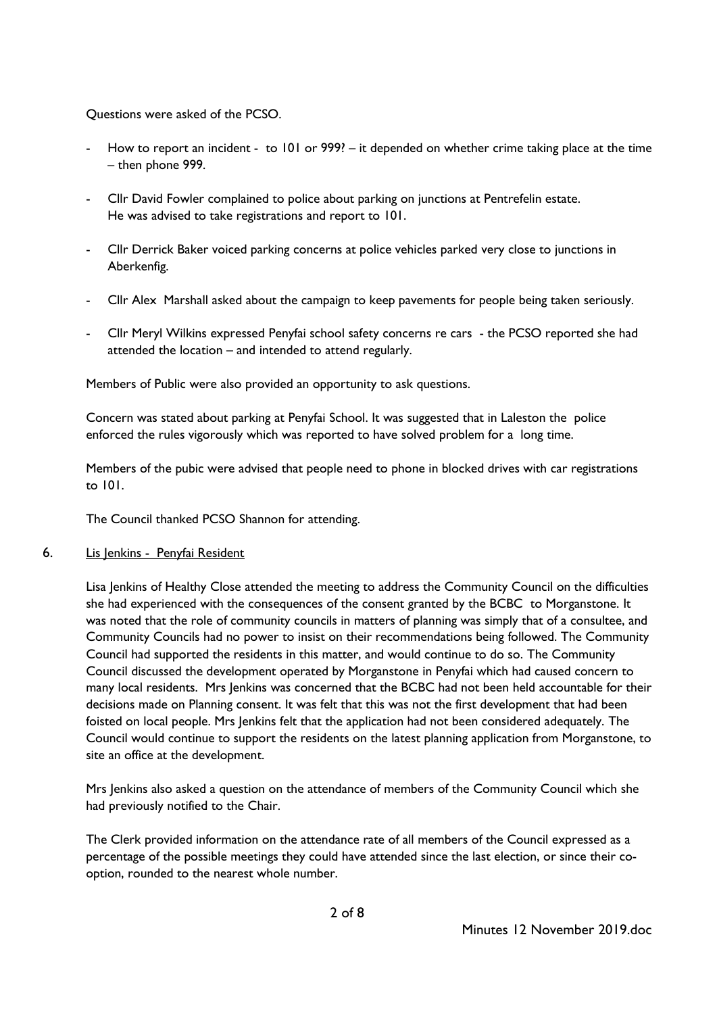Questions were asked of the PCSO.

- How to report an incident to 101 or 999? it depended on whether crime taking place at the time – then phone 999.
- Cllr David Fowler complained to police about parking on junctions at Pentrefelin estate. He was advised to take registrations and report to 101.
- Cllr Derrick Baker voiced parking concerns at police vehicles parked very close to junctions in Aberkenfig.
- Cllr Alex Marshall asked about the campaign to keep pavements for people being taken seriously.
- Cllr Meryl Wilkins expressed Penyfai school safety concerns re cars the PCSO reported she had attended the location – and intended to attend regularly.

Members of Public were also provided an opportunity to ask questions.

Concern was stated about parking at Penyfai School. It was suggested that in Laleston the police enforced the rules vigorously which was reported to have solved problem for a long time.

Members of the pubic were advised that people need to phone in blocked drives with car registrations to 101.

The Council thanked PCSO Shannon for attending.

6. Lis Jenkins - Penyfai Resident

Lisa Jenkins of Healthy Close attended the meeting to address the Community Council on the difficulties she had experienced with the consequences of the consent granted by the BCBC to Morganstone. It was noted that the role of community councils in matters of planning was simply that of a consultee, and Community Councils had no power to insist on their recommendations being followed. The Community Council had supported the residents in this matter, and would continue to do so. The Community Council discussed the development operated by Morganstone in Penyfai which had caused concern to many local residents. Mrs Jenkins was concerned that the BCBC had not been held accountable for their decisions made on Planning consent. It was felt that this was not the first development that had been foisted on local people. Mrs Jenkins felt that the application had not been considered adequately. The Council would continue to support the residents on the latest planning application from Morganstone, to site an office at the development.

Mrs Jenkins also asked a question on the attendance of members of the Community Council which she had previously notified to the Chair.

The Clerk provided information on the attendance rate of all members of the Council expressed as a percentage of the possible meetings they could have attended since the last election, or since their cooption, rounded to the nearest whole number.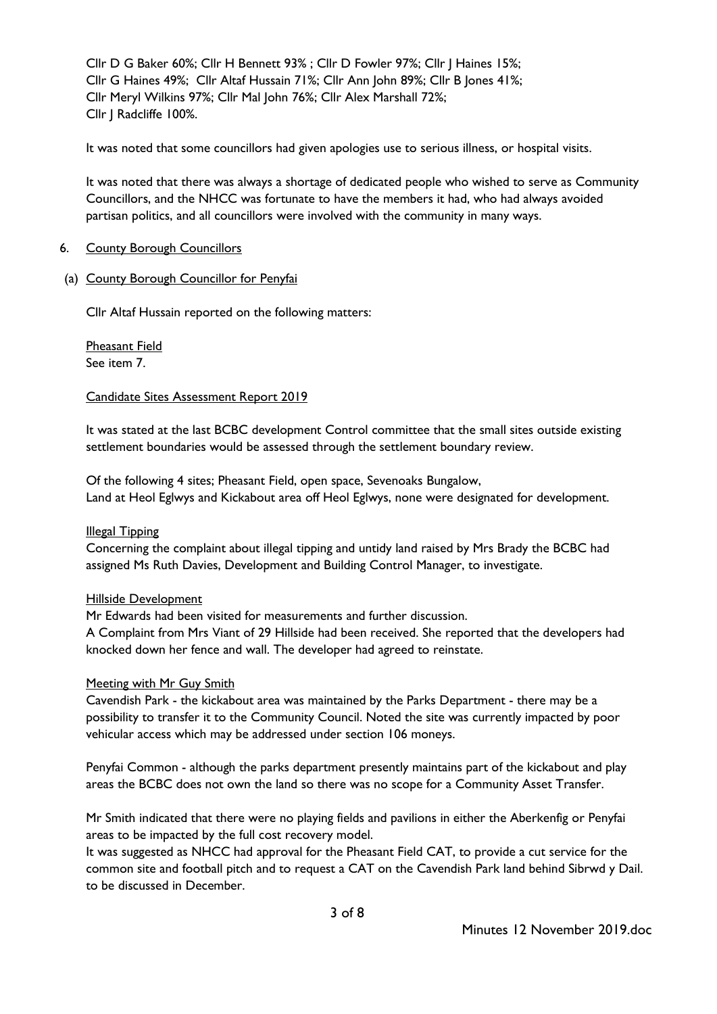Cllr D G Baker 60%; Cllr H Bennett 93% ; Cllr D Fowler 97%; Cllr J Haines 15%; Cllr G Haines 49%; Cllr Altaf Hussain 71%; Cllr Ann John 89%; Cllr B Jones 41%; Cllr Meryl Wilkins 97%; Cllr Mal John 76%; Cllr Alex Marshall 72%; Cllr J Radcliffe 100%.

It was noted that some councillors had given apologies use to serious illness, or hospital visits.

It was noted that there was always a shortage of dedicated people who wished to serve as Community Councillors, and the NHCC was fortunate to have the members it had, who had always avoided partisan politics, and all councillors were involved with the community in many ways.

#### 6. County Borough Councillors

(a) County Borough Councillor for Penyfai

Cllr Altaf Hussain reported on the following matters:

Pheasant Field See item 7.

#### Candidate Sites Assessment Report 2019

It was stated at the last BCBC development Control committee that the small sites outside existing settlement boundaries would be assessed through the settlement boundary review.

Of the following 4 sites; Pheasant Field, open space, Sevenoaks Bungalow, Land at Heol Eglwys and Kickabout area off Heol Eglwys, none were designated for development.

#### Illegal Tipping

Concerning the complaint about illegal tipping and untidy land raised by Mrs Brady the BCBC had assigned Ms Ruth Davies, Development and Building Control Manager, to investigate.

#### Hillside Development

Mr Edwards had been visited for measurements and further discussion.

A Complaint from Mrs Viant of 29 Hillside had been received. She reported that the developers had knocked down her fence and wall. The developer had agreed to reinstate.

#### Meeting with Mr Guy Smith

Cavendish Park - the kickabout area was maintained by the Parks Department - there may be a possibility to transfer it to the Community Council. Noted the site was currently impacted by poor vehicular access which may be addressed under section 106 moneys.

Penyfai Common - although the parks department presently maintains part of the kickabout and play areas the BCBC does not own the land so there was no scope for a Community Asset Transfer.

Mr Smith indicated that there were no playing fields and pavilions in either the Aberkenfig or Penyfai areas to be impacted by the full cost recovery model.

It was suggested as NHCC had approval for the Pheasant Field CAT, to provide a cut service for the common site and football pitch and to request a CAT on the Cavendish Park land behind Sibrwd y Dail. to be discussed in December.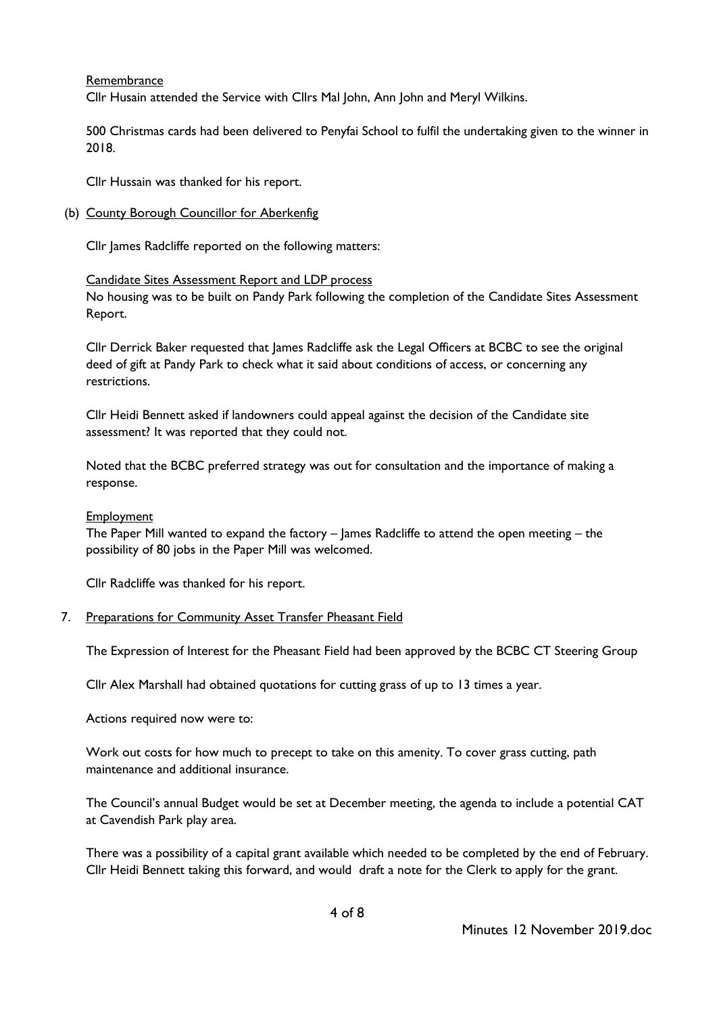Remembrance

Cllr Husain attended the Service with Cllrs Mal John, Ann John and Meryl Wilkins.

500 Christmas cards had been delivered to Penyfai School to fulfil the undertaking given to the winner in 2018.

Cllr Hussain was thanked for his report.

(b) County Borough Councillor for Aberkenfig

Cllr James Radcliffe reported on the following matters:

#### Candidate Sites Assessment Report and LDP process

No housing was to be built on Pandy Park following the completion of the Candidate Sites Assessment Report.

Cllr Derrick Baker requested that James Radcliffe ask the Legal Officers at BCBC to see the original deed of gift at Pandy Park to check what it said about conditions of access, or concerning any restrictions.

Cllr Heidi Bennett asked if landowners could appeal against the decision of the Candidate site assessment? It was reported that they could not.

Noted that the BCBC preferred strategy was out for consultation and the importance of making a response.

### **Employment**

The Paper Mill wanted to expand the factory – James Radcliffe to attend the open meeting – the possibility of 80 jobs in the Paper Mill was welcomed.

Cllr Radcliffe was thanked for his report.

7. Preparations for Community Asset Transfer Pheasant Field

The Expression of Interest for the Pheasant Field had been approved by the BCBC CT Steering Group

Cllr Alex Marshall had obtained quotations for cutting grass of up to 13 times a year.

Actions required now were to:

Work out costs for how much to precept to take on this amenity. To cover grass cutting, path maintenance and additional insurance.

The Council's annual Budget would be set at December meeting, the agenda to include a potential CAT at Cavendish Park play area.

There was a possibility of a capital grant available which needed to be completed by the end of February. Cllr Heidi Bennett taking this forward, and would draft a note for the Clerk to apply for the grant.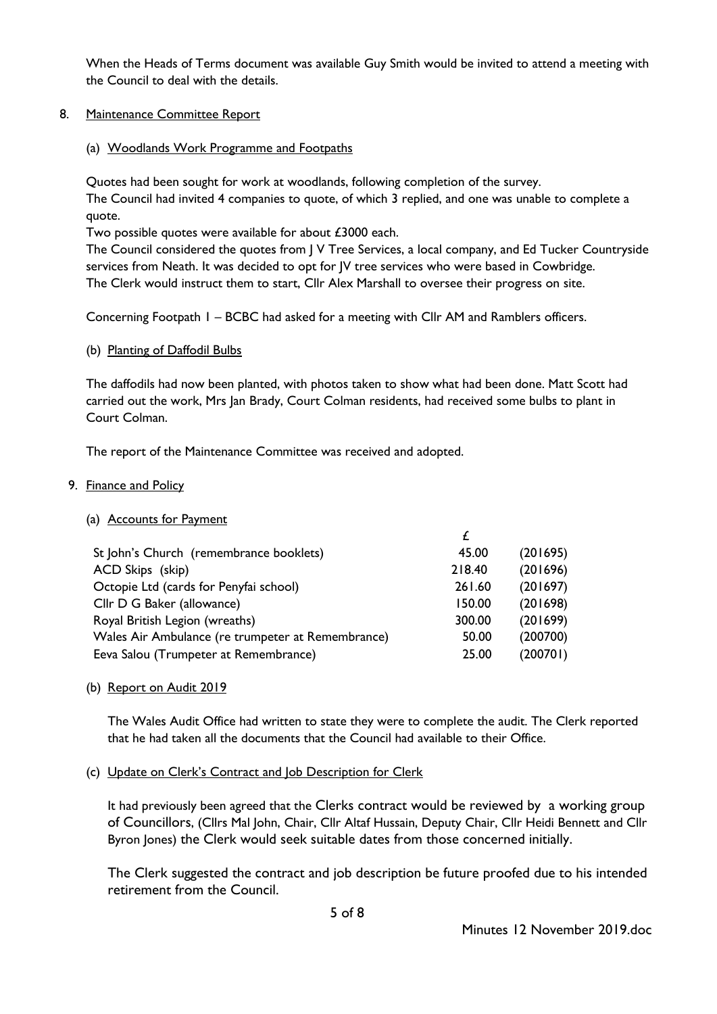When the Heads of Terms document was available Guy Smith would be invited to attend a meeting with the Council to deal with the details.

## 8. Maintenance Committee Report

## (a) Woodlands Work Programme and Footpaths

Quotes had been sought for work at woodlands, following completion of the survey.

The Council had invited 4 companies to quote, of which 3 replied, and one was unable to complete a quote.

Two possible quotes were available for about £3000 each.

The Council considered the quotes from J V Tree Services, a local company, and Ed Tucker Countryside services from Neath. It was decided to opt for JV tree services who were based in Cowbridge. The Clerk would instruct them to start, Cllr Alex Marshall to oversee their progress on site.

Concerning Footpath 1 – BCBC had asked for a meeting with Cllr AM and Ramblers officers.

### (b) Planting of Daffodil Bulbs

The daffodils had now been planted, with photos taken to show what had been done. Matt Scott had carried out the work, Mrs Jan Brady, Court Colman residents, had received some bulbs to plant in Court Colman.

The report of the Maintenance Committee was received and adopted.

## 9. Finance and Policy

### (a) Accounts for Payment

| St John's Church (remembrance booklets)           | 45.00  | (201695) |
|---------------------------------------------------|--------|----------|
| ACD Skips (skip)                                  | 218.40 | (201696) |
| Octopie Ltd (cards for Penyfai school)            | 261.60 | (201697) |
| Cllr D G Baker (allowance)                        | 150.00 | (201698) |
| Royal British Legion (wreaths)                    | 300.00 | (201699) |
| Wales Air Ambulance (re trumpeter at Remembrance) | 50.00  | (200700) |
| Eeva Salou (Trumpeter at Remembrance)             | 25.00  | (200701) |
|                                                   |        |          |

### (b) Report on Audit 2019

The Wales Audit Office had written to state they were to complete the audit. The Clerk reported that he had taken all the documents that the Council had available to their Office.

### (c) Update on Clerk's Contract and Job Description for Clerk

It had previously been agreed that the Clerks contract would be reviewed by a working group of Councillors, (Cllrs Mal John, Chair, Cllr Altaf Hussain, Deputy Chair, Cllr Heidi Bennett and Cllr Byron Jones) the Clerk would seek suitable dates from those concerned initially.

The Clerk suggested the contract and job description be future proofed due to his intended retirement from the Council.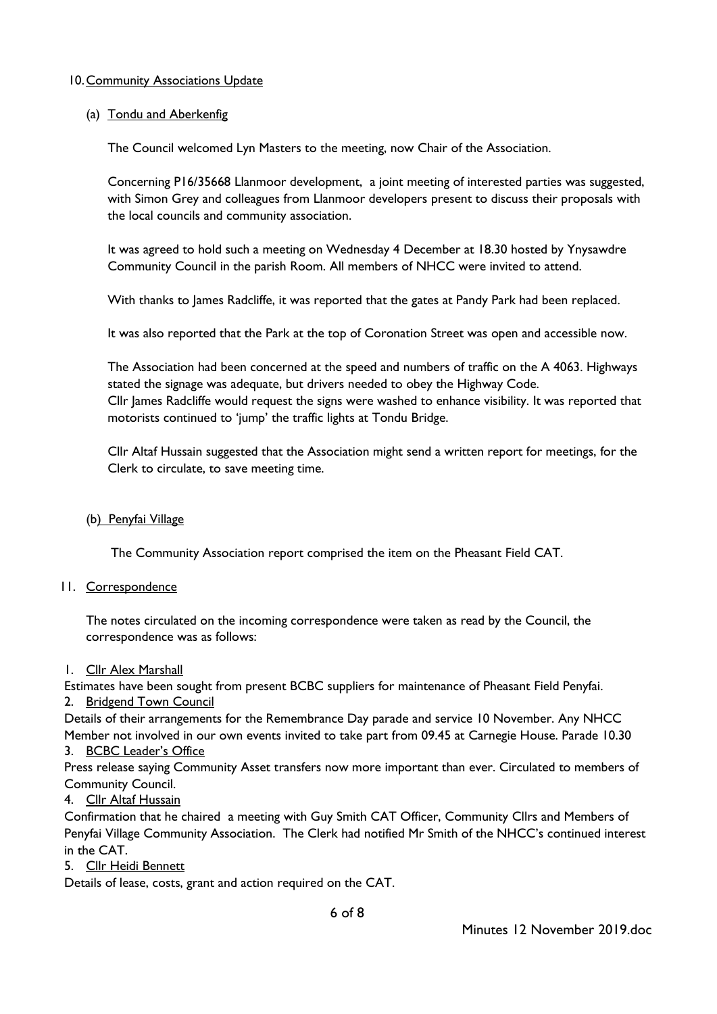## 10.Community Associations Update

## (a) Tondu and Aberkenfig

The Council welcomed Lyn Masters to the meeting, now Chair of the Association.

Concerning P16/35668 Llanmoor development, a joint meeting of interested parties was suggested, with Simon Grey and colleagues from Llanmoor developers present to discuss their proposals with the local councils and community association.

It was agreed to hold such a meeting on Wednesday 4 December at 18.30 hosted by Ynysawdre Community Council in the parish Room. All members of NHCC were invited to attend.

With thanks to James Radcliffe, it was reported that the gates at Pandy Park had been replaced.

It was also reported that the Park at the top of Coronation Street was open and accessible now.

The Association had been concerned at the speed and numbers of traffic on the A 4063. Highways stated the signage was adequate, but drivers needed to obey the Highway Code. Cllr James Radcliffe would request the signs were washed to enhance visibility. It was reported that motorists continued to 'jump' the traffic lights at Tondu Bridge.

Cllr Altaf Hussain suggested that the Association might send a written report for meetings, for the Clerk to circulate, to save meeting time.

### (b) Penyfai Village

The Community Association report comprised the item on the Pheasant Field CAT.

### 11. Correspondence

The notes circulated on the incoming correspondence were taken as read by the Council, the correspondence was as follows:

1. Cllr Alex Marshall

Estimates have been sought from present BCBC suppliers for maintenance of Pheasant Field Penyfai.

2. Bridgend Town Council

Details of their arrangements for the Remembrance Day parade and service 10 November. Any NHCC Member not involved in our own events invited to take part from 09.45 at Carnegie House. Parade 10.30

### 3. BCBC Leader's Office

Press release saying Community Asset transfers now more important than ever. Circulated to members of Community Council.

4. Cllr Altaf Hussain

Confirmation that he chaired a meeting with Guy Smith CAT Officer, Community Cllrs and Members of Penyfai Village Community Association. The Clerk had notified Mr Smith of the NHCC's continued interest in the CAT.

5. Cllr Heidi Bennett

Details of lease, costs, grant and action required on the CAT.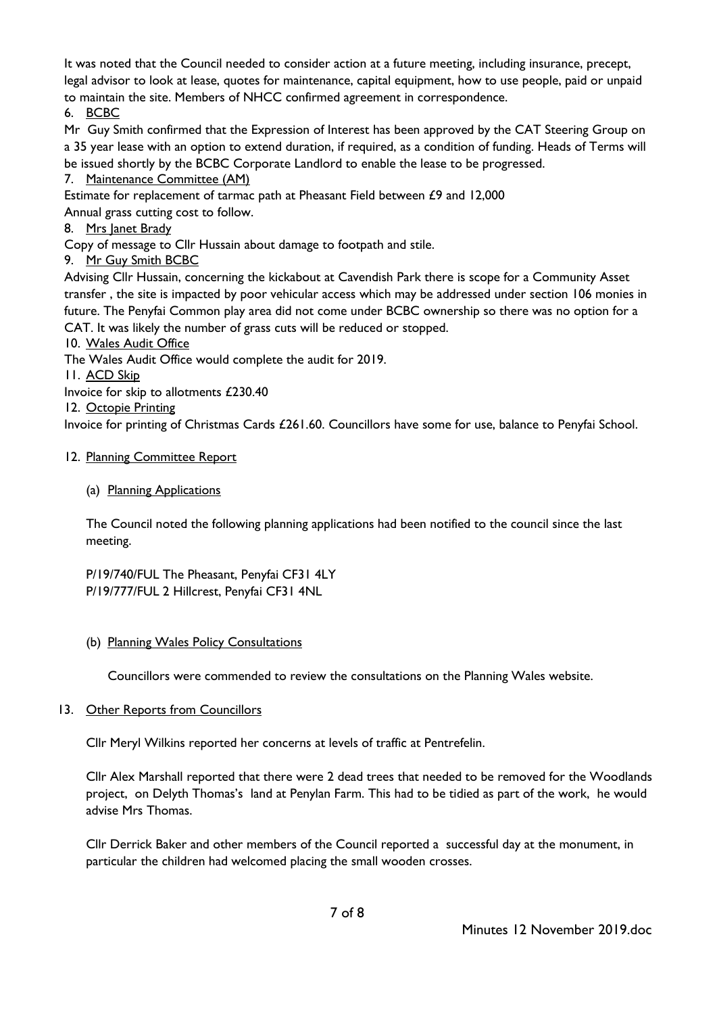It was noted that the Council needed to consider action at a future meeting, including insurance, precept, legal advisor to look at lease, quotes for maintenance, capital equipment, how to use people, paid or unpaid to maintain the site. Members of NHCC confirmed agreement in correspondence.

6. BCBC

Mr Guy Smith confirmed that the Expression of Interest has been approved by the CAT Steering Group on a 35 year lease with an option to extend duration, if required, as a condition of funding. Heads of Terms will be issued shortly by the BCBC Corporate Landlord to enable the lease to be progressed.

7. Maintenance Committee (AM)

Estimate for replacement of tarmac path at Pheasant Field between £9 and 12,000

Annual grass cutting cost to follow.

8. Mrs Janet Brady

Copy of message to Cllr Hussain about damage to footpath and stile.

9. Mr Guy Smith BCBC

Advising Cllr Hussain, concerning the kickabout at Cavendish Park there is scope for a Community Asset transfer , the site is impacted by poor vehicular access which may be addressed under section 106 monies in future. The Penyfai Common play area did not come under BCBC ownership so there was no option for a CAT. It was likely the number of grass cuts will be reduced or stopped.

10. Wales Audit Office

The Wales Audit Office would complete the audit for 2019.

11. ACD Skip

Invoice for skip to allotments £230.40

12. Octopie Printing

Invoice for printing of Christmas Cards £261.60. Councillors have some for use, balance to Penyfai School.

# 12. Planning Committee Report

# (a) Planning Applications

The Council noted the following planning applications had been notified to the council since the last meeting.

P/19/740/FUL The Pheasant, Penyfai CF31 4LY P/19/777/FUL 2 Hillcrest, Penyfai CF31 4NL

# (b) Planning Wales Policy Consultations

Councillors were commended to review the consultations on the Planning Wales website.

# 13. Other Reports from Councillors

Cllr Meryl Wilkins reported her concerns at levels of traffic at Pentrefelin.

Cllr Alex Marshall reported that there were 2 dead trees that needed to be removed for the Woodlands project, on Delyth Thomas's land at Penylan Farm. This had to be tidied as part of the work, he would advise Mrs Thomas.

Cllr Derrick Baker and other members of the Council reported a successful day at the monument, in particular the children had welcomed placing the small wooden crosses.